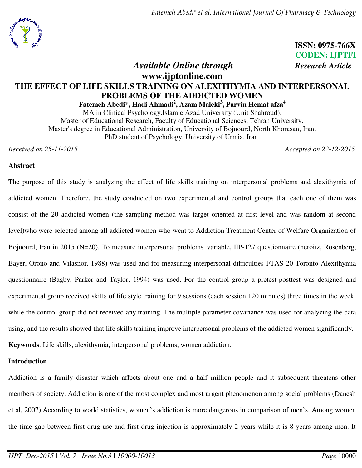

**ISSN: 0975-766X CODEN: IJPTFI**

# *Available Online through Research Article*

## **www.ijptonline.com THE EFFECT OF LIFE SKILLS TRAINING ON ALEXITHYMIA AND INTERPERSONAL PROBLEMS OF THE ADDICTED WOMEN Fatemeh Abedi\*, Hadi Ahmadi<sup>2</sup> , Azam Maleki<sup>3</sup> , Parvin Hemat afza<sup>4</sup>**

MA in Clinical Psychology.Islamic Azad University (Unit Shahroud). Master of Educational Research, Faculty of Educational Sciences, Tehran University. Master's degree in Educational Administration, University of Bojnourd, North Khorasan, Iran. PhD student of Psychology, University of Urmia, Iran.

*Received on 25-11-2015 Accepted on 22-12-2015*

### **Abstract**

The purpose of this study is analyzing the effect of life skills training on interpersonal problems and alexithymia of addicted women. Therefore, the study conducted on two experimental and control groups that each one of them was consist of the 20 addicted women (the sampling method was target oriented at first level and was random at second level)who were selected among all addicted women who went to Addiction Treatment Center of Welfare Organization of Bojnourd, Iran in 2015 (N=20). To measure interpersonal problems' variable, IIP-127 questionnaire (heroitz, Rosenberg, Bayer, Orono and Vilasnor, 1988) was used and for measuring interpersonal difficulties FTAS-20 Toronto Alexithymia questionnaire (Bagby, Parker and Taylor, 1994) was used. For the control group a pretest-posttest was designed and experimental group received skills of life style training for 9 sessions (each session 120 minutes) three times in the week, while the control group did not received any training. The multiple parameter covariance was used for analyzing the data using, and the results showed that life skills training improve interpersonal problems of the addicted women significantly. **Keywords**: Life skills, alexithymia, interpersonal problems, women addiction.

### **Introduction**

Addiction is a family disaster which affects about one and a half million people and it subsequent threatens other members of society. Addiction is one of the most complex and most urgent phenomenon among social problems (Danesh et al, 2007).According to world statistics, women`s addiction is more dangerous in comparison of men`s. Among women the time gap between first drug use and first drug injection is approximately 2 years while it is 8 years among men. It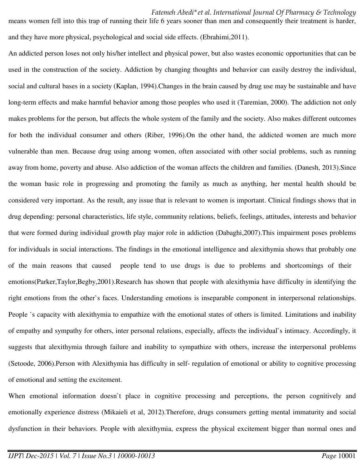means women fell into this trap of running their life 6 years sooner than men and consequently their treatment is harder, and they have more physical, psychological and social side effects. (Ebrahimi,2011).

An addicted person loses not only his/her intellect and physical power, but also wastes economic opportunities that can be used in the construction of the society. Addiction by changing thoughts and behavior can easily destroy the individual, social and cultural bases in a society (Kaplan, 1994).Changes in the brain caused by drug use may be sustainable and have long-term effects and make harmful behavior among those peoples who used it (Taremian, 2000). The addiction not only makes problems for the person, but affects the whole system of the family and the society. Also makes different outcomes for both the individual consumer and others (Riber, 1996).On the other hand, the addicted women are much more vulnerable than men. Because drug using among women, often associated with other social problems, such as running away from home, poverty and abuse. Also addiction of the woman affects the children and families. (Danesh, 2013).Since the woman basic role in progressing and promoting the family as much as anything, her mental health should be considered very important. As the result, any issue that is relevant to women is important. Clinical findings shows that in drug depending: personal characteristics, life style, community relations, beliefs, feelings, attitudes, interests and behavior that were formed during individual growth play major role in addiction (Dabaghi,2007).This impairment poses problems for individuals in social interactions. The findings in the emotional intelligence and alexithymia shows that probably one of the main reasons that caused people tend to use drugs is due to problems and shortcomings of their emotions(Parker,Taylor,Begby,2001).Research has shown that people with alexithymia have difficulty in identifying the right emotions from the other`s faces. Understanding emotions is inseparable component in interpersonal relationships. People `s capacity with alexithymia to empathize with the emotional states of others is limited. Limitations and inability of empathy and sympathy for others, inter personal relations, especially, affects the individual`s intimacy. Accordingly, it suggests that alexithymia through failure and inability to sympathize with others, increase the interpersonal problems (Setoode, 2006).Person with Alexithymia has difficulty in self- regulation of emotional or ability to cognitive processing of emotional and setting the excitement.

When emotional information doesn't place in cognitive processing and perceptions, the person cognitively and emotionally experience distress (Mikaieli et al, 2012).Therefore, drugs consumers getting mental immaturity and social dysfunction in their behaviors. People with alexithymia, express the physical excitement bigger than normal ones and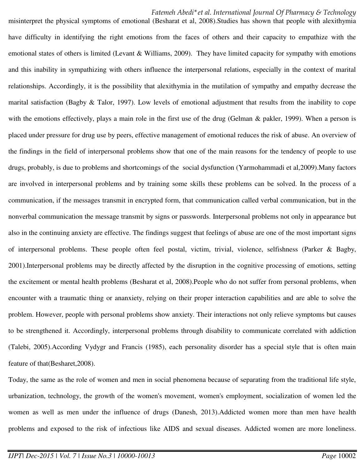misinterpret the physical symptoms of emotional (Besharat et al, 2008).Studies has shown that people with alexithymia have difficulty in identifying the right emotions from the faces of others and their capacity to empathize with the emotional states of others is limited (Levant & Williams, 2009). They have limited capacity for sympathy with emotions and this inability in sympathizing with others influence the interpersonal relations, especially in the context of marital relationships. Accordingly, it is the possibility that alexithymia in the mutilation of sympathy and empathy decrease the marital satisfaction (Bagby  $\&$  Talor, 1997). Low levels of emotional adjustment that results from the inability to cope with the emotions effectively, plays a main role in the first use of the drug (Gelman & pakler, 1999). When a person is placed under pressure for drug use by peers, effective management of emotional reduces the risk of abuse. An overview of the findings in the field of interpersonal problems show that one of the main reasons for the tendency of people to use drugs, probably, is due to problems and shortcomings of the social dysfunction (Yarmohammadi et al,2009).Many factors are involved in interpersonal problems and by training some skills these problems can be solved. In the process of a communication, if the messages transmit in encrypted form, that communication called verbal communication, but in the nonverbal communication the message transmit by signs or passwords. Interpersonal problems not only in appearance but also in the continuing anxiety are effective. The findings suggest that feelings of abuse are one of the most important signs of interpersonal problems. These people often feel postal, victim, trivial, violence, selfishness (Parker & Bagby, 2001).Interpersonal problems may be directly affected by the disruption in the cognitive processing of emotions, setting the excitement or mental health problems (Besharat et al, 2008).People who do not suffer from personal problems, when encounter with a traumatic thing or ananxiety, relying on their proper interaction capabilities and are able to solve the problem. However, people with personal problems show anxiety. Their interactions not only relieve symptoms but causes to be strengthened it. Accordingly, interpersonal problems through disability to communicate correlated with addiction (Talebi, 2005).According Vydygr and Francis (1985), each personality disorder has a special style that is often main feature of that(Besharet,2008).

Today, the same as the role of women and men in social phenomena because of separating from the traditional life style, urbanization, technology, the growth of the women's movement, women's employment, socialization of women led the women as well as men under the influence of drugs (Danesh, 2013).Addicted women more than men have health problems and exposed to the risk of infectious like AIDS and sexual diseases. Addicted women are more loneliness.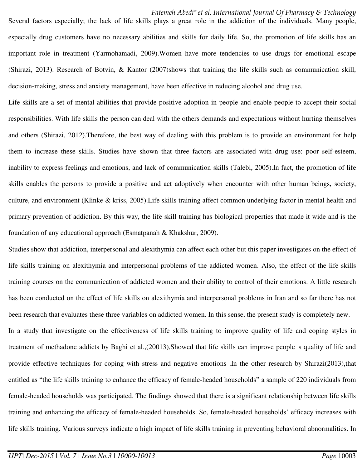Several factors especially; the lack of life skills plays a great role in the addiction of the individuals. Many people, especially drug customers have no necessary abilities and skills for daily life. So, the promotion of life skills has an important role in treatment (Yarmohamadi, 2009).Women have more tendencies to use drugs for emotional escape (Shirazi, 2013). Research of Botvin, & Kantor (2007)shows that training the life skills such as communication skill, decision-making, stress and anxiety management, have been effective in reducing alcohol and drug use.

Life skills are a set of mental abilities that provide positive adoption in people and enable people to accept their social responsibilities. With life skills the person can deal with the others demands and expectations without hurting themselves and others (Shirazi, 2012).Therefore, the best way of dealing with this problem is to provide an environment for help them to increase these skills. Studies have shown that three factors are associated with drug use: poor self-esteem, inability to express feelings and emotions, and lack of communication skills (Talebi, 2005).In fact, the promotion of life skills enables the persons to provide a positive and act adoptively when encounter with other human beings, society, culture, and environment (Klinke & kriss, 2005).Life skills training affect common underlying factor in mental health and primary prevention of addiction. By this way, the life skill training has biological properties that made it wide and is the foundation of any educational approach (Esmatpanah & Khakshur, 2009).

Studies show that addiction, interpersonal and alexithymia can affect each other but this paper investigates on the effect of life skills training on alexithymia and interpersonal problems of the addicted women. Also, the effect of the life skills training courses on the communication of addicted women and their ability to control of their emotions. A little research has been conducted on the effect of life skills on alexithymia and interpersonal problems in Iran and so far there has not been research that evaluates these three variables on addicted women. In this sense, the present study is completely new.

In a study that investigate on the effectiveness of life skills training to improve quality of life and coping styles in treatment of methadone addicts by Baghi et al.,(20013),Showed that life skills can improve people 's quality of life and provide effective techniques for coping with stress and negative emotions .In the other research by Shirazi(2013),that entitled as "the life skills training to enhance the efficacy of female-headed households" a sample of 220 individuals from female-headed households was participated. The findings showed that there is a significant relationship between life skills training and enhancing the efficacy of female-headed households. So, female-headed households' efficacy increases with life skills training. Various surveys indicate a high impact of life skills training in preventing behavioral abnormalities. In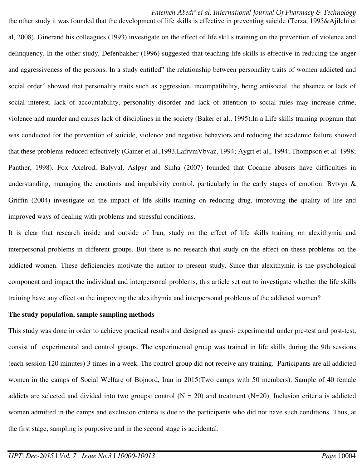the other study it was founded that the development of life skills is effective in preventing suicide (Terza, 1995&Ajilchi et al, 2008). Ginerand his colleagues (1993) investigate on the effect of life skills training on the prevention of violence and delinquency. In the other study, Defenbakher (1996) suggested that teaching life skills is effective in reducing the anger and aggressiveness of the persons. In a study entitled" the relationship between personality traits of women addicted and social order" showed that personality traits such as aggression, incompatibility, being antisocial, the absence or lack of social interest, lack of accountability, personality disorder and lack of attention to social rules may increase crime, violence and murder and causes lack of disciplines in the society (Baker et al., 1995).In a Life skills training program that was conducted for the prevention of suicide, violence and negative behaviors and reducing the academic failure showed that these problems reduced effectively (Gainer et al.,1993,LafrvmVbvaz, 1994; Aygrt et al., 1994; Thompson et al. 1998; Panther, 1998). Fox Axelrod, Balyval, Aslpyr and Sinha (2007) founded that Cocaine abusers have difficulties in understanding, managing the emotions and impulsivity control, particularly in the early stages of emotion. Bytyn  $\&$ Griffin (2004) investigate on the impact of life skills training on reducing drug, improving the quality of life and improved ways of dealing with problems and stressful conditions.

It is clear that research inside and outside of Iran, study on the effect of life skills training on alexithymia and interpersonal problems in different groups. But there is no research that study on the effect on these problems on the addicted women. These deficiencies motivate the author to present study. Since that alexithymia is the psychological component and impact the individual and interpersonal problems, this article set out to investigate whether the life skills training have any effect on the improving the alexithymia and interpersonal problems of the addicted women?

#### **The study population, sample sampling methods**

This study was done in order to achieve practical results and designed as quasi- experimental under pre-test and post-test, consist of experimental and control groups. The experimental group was trained in life skills during the 9th sessions (each session 120 minutes) 3 times in a week. The control group did not receive any training. Participants are all addicted women in the camps of Social Welfare of Bojnord, Iran in 2015(Two camps with 50 members). Sample of 40 female addicts are selected and divided into two groups: control  $(N = 20)$  and treatment  $(N=20)$ . Inclusion criteria is addicted women admitted in the camps and exclusion criteria is due to the participants who did not have such conditions. Thus, at the first stage, sampling is purposive and in the second stage is accidental.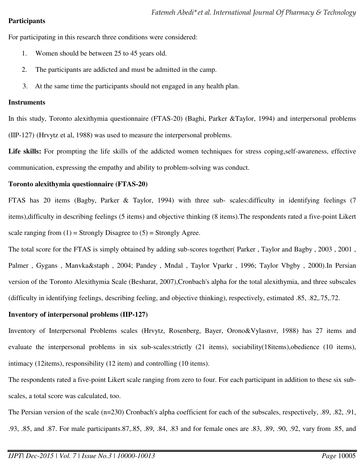### **Participants**

For participating in this research three conditions were considered:

- 1. Women should be between 25 to 45 years old.
- 2. The participants are addicted and must be admitted in the camp.
- 3. At the same time the participants should not engaged in any health plan.

### **Instruments**

In this study, Toronto alexithymia questionnaire (FTAS-20) (Baghi, Parker &Taylor, 1994) and interpersonal problems (IIP-127) (Hrvytz et al, 1988) was used to measure the interpersonal problems.

**Life skills:** For prompting the life skills of the addicted women techniques for stress coping,self-awareness, effective communication, expressing the empathy and ability to problem-solving was conduct.

### **Toronto alexithymia questionnaire (FTAS-20)**

FTAS has 20 items (Bagby, Parker & Taylor, 1994) with three sub- scales:difficulty in identifying feelings (7 items),difficulty in describing feelings (5 items) and objective thinking (8 items).The respondents rated a five-point Likert scale ranging from  $(1)$  = Strongly Disagree to  $(5)$  = Strongly Agree.

The total score for the FTAS is simply obtained by adding sub-scores together( Parker , Taylor and Bagby , 2003 , 2001 , Palmer , Gygans , Manvka&staph , 2004; Pandey , Mndal , Taylor Vparkr , 1996; Taylor Vbgby , 2000).In Persian version of the Toronto Alexithymia Scale (Besharat, 2007),Cronbach's alpha for the total alexithymia, and three subscales (difficulty in identifying feelings, describing feeling, and objective thinking), respectively, estimated .85, .82,.75,.72.

### **Inventory of interpersonal problems (IIP-127)**

Inventory of Interpersonal Problems scales (Hrvytz, Rosenberg, Bayer, Orono&Vylasnvr, 1988) has 27 items and evaluate the interpersonal problems in six sub-scales:strictly (21 items), sociability(18items),obedience (10 items), intimacy (12items), responsibility (12 item) and controlling (10 items).

The respondents rated a five-point Likert scale ranging from zero to four. For each participant in addition to these six subscales, a total score was calculated, too.

The Persian version of the scale (n=230) Cronbach's alpha coefficient for each of the subscales, respectively, .89, .82, .91, .93, .85, and .87. For male participants.87,.85, .89, .84, .83 and for female ones are .83, .89, .90, .92, vary from .85, and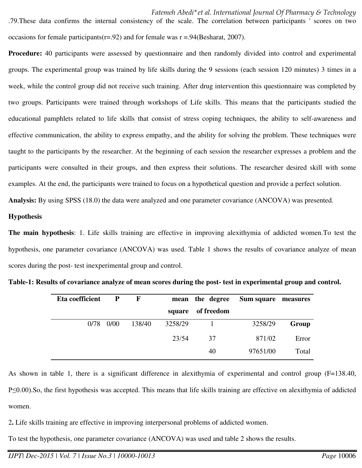.79.These data confirms the internal consistency of the scale. The correlation between participants ' scores on two occasions for female participants( $r = .92$ ) and for female was  $r = .94$ (Besharat, 2007).

**Procedure:** 40 participants were assessed by questionnaire and then randomly divided into control and experimental groups. The experimental group was trained by life skills during the 9 sessions (each session 120 minutes) 3 times in a week, while the control group did not receive such training. After drug intervention this questionnaire was completed by two groups. Participants were trained through workshops of Life skills. This means that the participants studied the educational pamphlets related to life skills that consist of stress coping techniques, the ability to self-awareness and effective communication, the ability to express empathy, and the ability for solving the problem. These techniques were taught to the participants by the researcher. At the beginning of each session the researcher expresses a problem and the participants were consulted in their groups, and then express their solutions. The researcher desired skill with some examples. At the end, the participants were trained to focus on a hypothetical question and provide a perfect solution.

**Analysis:** By using SPSS (18.0) the data were analyzed and one parameter covariance (ANCOVA) was presented.

#### **Hypothesis**

**The main hypothesis**: 1. Life skills training are effective in improving alexithymia of addicted women.To test the hypothesis, one parameter covariance (ANCOVA) was used. Table 1 shows the results of covariance analyze of mean scores during the post- test inexperimental group and control.

| Eta coefficient | P    | F      |         | mean the degree | Sum square measures |       |
|-----------------|------|--------|---------|-----------------|---------------------|-------|
|                 |      |        | square  | of freedom      |                     |       |
| 0/78            | 0/00 | 138/40 | 3258/29 |                 | 3258/29             | Group |
|                 |      |        | 23/54   | 37              | 871/02              | Error |
|                 |      |        |         | 40              | 97651/00            | Total |

**Table-1: Results of covariance analyze of mean scores during the post- test in experimental group and control.** 

As shown in table 1, there is a significant difference in alexithymia of experimental and control group (F=138.40, P≤0.00).So, the first hypothesis was accepted. This means that life skills training are effective on alexithymia of addicted women.

2**.** Life skills training are effective in improving interpersonal problems of addicted women.

To test the hypothesis, one parameter covariance (ANCOVA) was used and table 2 shows the results.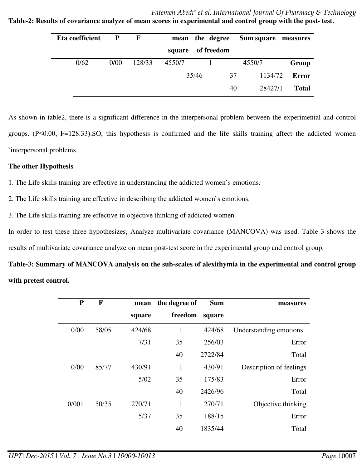**Table-2: Results of covariance analyze of mean scores in experimental and control group with the post- test.** 

| Eta coefficient | P    | $\mathbf{F}$ |        |       | mean the degree | Sum square measures |              |
|-----------------|------|--------------|--------|-------|-----------------|---------------------|--------------|
|                 |      |              | square |       | of freedom      |                     |              |
| 0/62            | 0/00 | 128/33       | 4550/7 |       |                 | 4550/7              | Group        |
|                 |      |              |        | 35/46 | 37              | 1134/72             | Error        |
|                 |      |              |        |       | 40              | 28427/1             | <b>Total</b> |

As shown in table2, there is a significant difference in the interpersonal problem between the experimental and control groups. (P≤0.00, F=128.33).SO, this hypothesis is confirmed and the life skills training affect the addicted women `interpersonal problems.

### **The other Hypothesis**

1. The Life skills training are effective in understanding the addicted women`s emotions.

2. The Life skills training are effective in describing the addicted women`s emotions.

3. The Life skills training are effective in objective thinking of addicted women.

In order to test these three hypothesizes, Analyze multivariate covariance (MANCOVA) was used. Table 3 shows the results of multivariate covariance analyze on mean post-test score in the experimental group and control group.

**Table-3: Summary of MANCOVA analysis on the sub-scales of alexithymia in the experimental and control group with pretest control.** 

| measures                | <b>Sum</b> | the degree of | mean   | $\mathbf{F}$ | ${\bf P}$ |
|-------------------------|------------|---------------|--------|--------------|-----------|
|                         | square     | freedom       | square |              |           |
| Understanding emotions  | 424/68     | 1             | 424/68 | 58/05        | 0/00      |
| Error                   | 256/03     | 35            | 7/31   |              |           |
| Total                   | 2722/84    | 40            |        |              |           |
| Description of feelings | 430/91     | 1             | 430/91 | 85/77        | 0/00      |
| Error                   | 175/83     | 35            | 5/02   |              |           |
| Total                   | 2426/96    | 40            |        |              |           |
| Objective thinking      | 270/71     | 1             | 270/71 | 50/35        | 0/001     |
| Error                   | 188/15     | 35            | 5/37   |              |           |
| Total                   | 1835/44    | 40            |        |              |           |
|                         |            |               |        |              |           |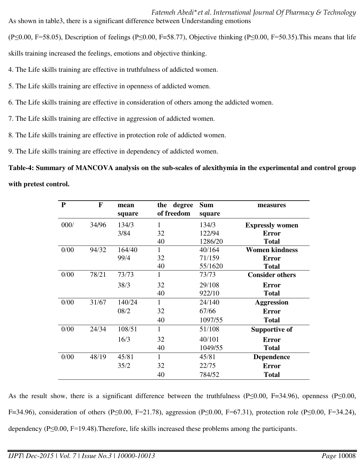*Fatemeh Abedi\*et al. International Journal Of Pharmacy & Technology* As shown in table3, there is a significant difference between Understanding emotions

(P≤0.00, F=58.05), Description of feelings (P≤0.00, F=58.77), Objective thinking (P≤0.00, F=50.35).This means that life

skills training increased the feelings, emotions and objective thinking.

- 4. The Life skills training are effective in truthfulness of addicted women.
- 5. The Life skills training are effective in openness of addicted women.
- 6. The Life skills training are effective in consideration of others among the addicted women.
- 7. The Life skills training are effective in aggression of addicted women.
- 8. The Life skills training are effective in protection role of addicted women.
- 9. The Life skills training are effective in dependency of addicted women.

**Table-4: Summary of MANCOVA analysis on the sub-scales of alexithymia in the experimental and control group with pretest control.** 

| ${\bf P}$ | F     | mean   | degree<br>the | <b>Sum</b> | measures               |
|-----------|-------|--------|---------------|------------|------------------------|
|           |       | square | of freedom    | square     |                        |
| 000/      | 34/96 | 134/3  | 1             | 134/3      | <b>Expressly women</b> |
|           |       | 3/84   | 32            | 122/94     | <b>Error</b>           |
|           |       |        | 40            | 1286/20    | <b>Total</b>           |
| 0/00      | 94/32 | 164/40 | 1             | 40/164     | <b>Women kindness</b>  |
|           |       | 99/4   | 32            | 71/159     | <b>Error</b>           |
|           |       |        | 40            | 55/1620    | <b>Total</b>           |
| 0/00      | 78/21 | 73/73  | 1             | 73/73      | <b>Consider others</b> |
|           |       | 38/3   | 32            | 29/108     | <b>Error</b>           |
|           |       |        | 40            | 922/10     | <b>Total</b>           |
| 0/00      | 31/67 | 140/24 | 1             | 24/140     | <b>Aggression</b>      |
|           |       | 08/2   | 32            | 67/66      | <b>Error</b>           |
|           |       |        | 40            | 1097/55    | <b>Total</b>           |
| 0/00      | 24/34 | 108/51 | 1             | 51/108     | <b>Supportive of</b>   |
|           |       | 16/3   | 32            | 40/101     | <b>Error</b>           |
|           |       |        | 40            | 1049/55    | <b>Total</b>           |
| 0/00      | 48/19 | 45/81  | 1             | 45/81      | Dependence             |
|           |       | 35/2   | 32            | 22/75      | <b>Error</b>           |
|           |       |        | 40            | 784/52     | <b>Total</b>           |

As the result show, there is a significant difference between the truthfulness (P≤0.00, F=34.96), openness (P≤0.00, F=34.96), consideration of others (P≤0.00, F=21.78), aggression (P≤0.00, F=67.31), protection role (P≤0.00, F=34.24), dependency (P≤0.00, F=19.48).Therefore, life skills increased these problems among the participants.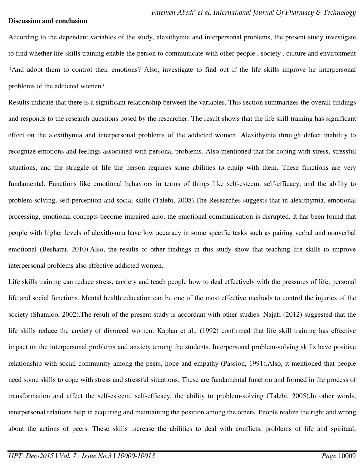#### **Discussion and conclusion**

According to the dependent variables of the study, alexithymia and interpersonal problems, the present study investigate to find whether life skills training enable the person to communicate with other people , society , culture and environment ?And adopt them to control their emotions? Also, investigate to find out if the life skills improve he interpersonal problems of the addicted women?

Results indicate that there is a significant relationship between the variables. This section summarizes the overall findings and responds to the research questions posed by the researcher. The result shows that the life skill training has significant effect on the alexithymia and interpersonal problems of the addicted women. Alexithymia through defect inability to recognize emotions and feelings associated with personal problems. Also mentioned that for coping with stress, stressful situations, and the struggle of life the person requires some abilities to equip with them. These functions are very fundamental. Functions like emotional behaviors in terms of things like self-esteem, self-efficacy, and the ability to problem-solving, self-perception and social skills (Talebi, 2008).The Researches suggests that in alexithymia, emotional processing, emotional concepts become impaired also, the emotional communication is disrupted. It has been found that people with higher levels of alexithymia have low accuracy in some specific tasks such as pairing verbal and nonverbal emotional (Besharat, 2010).Also, the results of other findings in this study show that teaching life skills to improve interpersonal problems also effective addicted women.

Life skills training can reduce stress, anxiety and teach people how to deal effectively with the pressures of life, personal life and social functions. Mental health education can be one of the most effective methods to control the injuries of the society (Shamloo, 2002).The result of the present study is accordant with other studies. Najafi (2012) suggested that the life skills reduce the anxiety of divorced women. Kaplan et al., (1992) confirmed that life skill training has effective impact on the interpersonal problems and anxiety among the students. Interpersonal problem-solving skills have positive relationship with social community among the peers, hope and empathy (Passion, 1991).Also, it mentioned that people need some skills to cope with stress and stressful situations. These are fundamental function and formed in the process of transformation and affect the self-esteem, self-efficacy, the ability to problem-solving (Talebi, 2005).In other words, interpersonal relations help in acquiring and maintaining the position among the others. People realize the right and wrong about the actions of peers. These skills increase the abilities to deal with conflicts, problems of life and spiritual,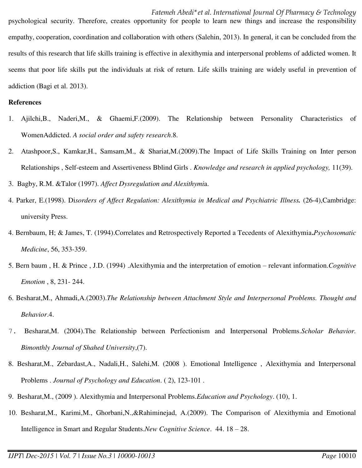psychological security. Therefore, creates opportunity for people to learn new things and increase the responsibility empathy, cooperation, coordination and collaboration with others (Salehin, 2013). In general, it can be concluded from the results of this research that life skills training is effective in alexithymia and interpersonal problems of addicted women. It seems that poor life skills put the individuals at risk of return. Life skills training are widely useful in prevention of addiction (Bagi et al. 2013).

#### **References**

- 1. Ajilchi,B., Naderi,M., & Ghaemi,F.(2009). The Relationship between Personality Characteristics of WomenAddicted. *A social order and safety research*.8.
- 2. Atashpoor,S., Kamkar,H., Samsam,M., & Shariat,M.(2009).The Impact of Life Skills Training on Inter person Relationships , Self-esteem and Assertiveness Bblind Girls . *Knowledge and research in applied psychology,* 11(39).
- 3. Bagby, R.M. &Talor (1997). *Affect Dysregulation and Alexithymi*a.
- 4. Parker, E.(1998). Di*sorders of Affect Regulation: Alexithymia in Medical and Psychiatric Illness.* (26-4),Cambridge: university Press.
- 4. Bernbaum, H; & James, T. (1994).Correlates and Retrospectively Reported a Tecedents of Alexithymia**.***Psychosomatic Medicine*, 56, 353-359.
- 5. Bern baum , H. & Prince , J.D. (1994) .Alexithymia and the interpretation of emotion relevant information.*Cognitive Emotion* , 8, 231- 244.
- 6. Besharat,M., Ahmadi,A.(2003).*The Relationship between Attachment Style and Interpersonal Problems. Thought and Behavior*.4.
- 7. Besharat,M. (2004).The Relationship between Perfectionism and Interpersonal Problems.*Scholar Behavior. Bimonthly Journal of Shahed University*,(7).
- 8. Besharat,M., Zebardast,A., Nadali,H., Salehi,M. (2008 ). Emotional Intelligence , Alexithymia and Interpersonal Problems . *Journal of Psychology and Education*. ( 2), 123-101 .
- 9. Besharat,M., (2009 ). Alexithymia and Interpersonal Problems.*Education and Psychology*. (10), 1.
- 10. Besharat,M., Karimi,M., Ghorbani,N.,&Rahiminejad, A.(2009). The Comparison of Alexithymia and Emotional Intelligence in Smart and Regular Students.*New Cognitive Science*. 44. 18 – 28.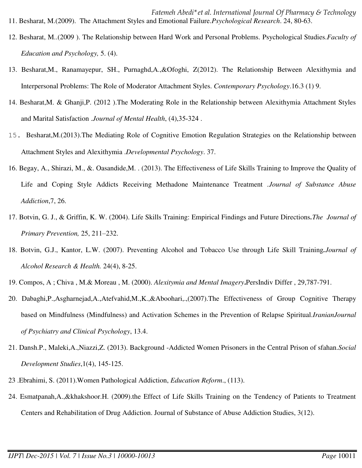*Fatemeh Abedi\*et al. International Journal Of Pharmacy & Technology* 11. Besharat, M.(2009). The Attachment Styles and Emotional Failure.*Psychological Research*. 24, 80-63.

- 12. Besharat, M..(2009 ). The Relationship between Hard Work and Personal Problems. Psychological Studies.*Faculty of Education and Psychology,* 5. (4).
- 13. Besharat,M., Ranamayepur, SH., Purnaghd,A.,&Ofoghi, Z(2012). The Relationship Between Alexithymia and Interpersonal Problems: The Role of Moderator Attachment Styles. *Contemporary Psychology*.16.3 (1) 9.
- 14. Besharat,M. & Ghanji,P. (2012 ).The Moderating Role in the Relationship between Alexithymia Attachment Styles and Marital Satisfaction .*Journal of Mental Health*, (4), 35-324.
- 15**.** Besharat,M.(2013).The Mediating Role of Cognitive Emotion Regulation Strategies on the Relationship between Attachment Styles and Alexithymia .*Developmental Psychology*. 37.
- 16. Begay, A., Shirazi, M., &. Oasandide,M. . (2013). The Effectiveness of Life Skills Training to Improve the Quality of Life and Coping Style Addicts Receiving Methadone Maintenance Treatment *.Journal of Substance Abuse Addiction*,7, 26.
- 17. Botvin, G. J., & Griffin, K. W. (2004). Life Skills Training: Empirical Findings and Future Directions*.The Journal of Primary Prevention,* 25, 211–232.
- 18. Botvin, G.J., Kantor, L.W. (2007). Preventing Alcohol and Tobacco Use through Life Skill Training*.Journal of Alcohol Research & Health.* 24(4), 8-25.
- 19. Compos, A ; Chiva , M.& Moreau , M. (2000). *Alexitymia and Mental Imagery***.**PersIndiv Differ , 29,787-791.
- 20. Dabaghi,P.,Asgharnejad,A.,Atefvahid,M.,K.,&Aboohari,.,(2007).The Effectiveness of Group Cognitive Therapy based on Mindfulness (Mindfulness) and Activation Schemes in the Prevention of Relapse Spiritual.*IranianJournal of Psychiatry and Clinical Psychology*, 13.4.
- 21. Dansh.P., Maleki,A.,Niazzi,Z. (2013). Background -Addicted Women Prisoners in the Central Prison of sfahan.*Social Development Studies*,1(4), 145-125.
- 23 .Ebrahimi, S. (2011).Women Pathological Addiction, *Education Reform*., (113).
- 24. Esmatpanah,A.,&khakshoor.H. (2009).the Effect of Life Skills Training on the Tendency of Patients to Treatment Centers and Rehabilitation of Drug Addiction. Journal of Substance of Abuse Addiction Studies, 3(12).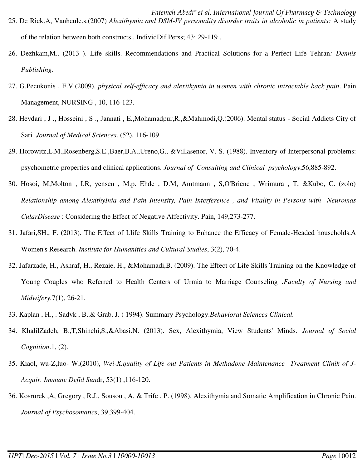- *Fatemeh Abedi\*et al. International Journal Of Pharmacy & Technology* 25. De Rick.A, Vanheule.s.(2007) *Alexithymia and DSM-IV personality disorder traits in alcoholic in patients:* A study of the relation between both constructs , IndividDif Perss; 43: 29-119 .
- 26. Dezhkam,M.. (2013 ). Life skills. Recommendations and Practical Solutions for a Perfect Life Tehran*: Dennis Publishing.*
- 27. G.Pecukonis , E.V.(2009). *physical self-efficacy and alexithymia in women with chronic intractable back pain*. Pain Management, NURSING , 10, 116-123.
- 28. Heydari , J ., Hosseini , S ., Jannati , E.,Mohamadpur,R.,&Mahmodi,Q.(2006). Mental status Social Addicts City of Sari .*Journal of Medical Sciences*. (52), 116-109.
- 29. Horowitz,L.M.,Rosenberg,S.E.,Baer,B.A.,Ureno,G., &Villasenor, V. S. (1988). Inventory of Interpersonal problems: psychometric properties and clinical applications. *Journal of Consulting and Clinical psychology*,56,885-892.
- 30. Hosoi, M,Molton , I.R, yensen , M.p. Ehde , D.M, Amtmann , S,O'Briene , Wrimura , T, &Kubo, C. (zolo) *Relationship among AlexithyInia and Pain Intensity, Pain Interference , and Vitality in Persons with Neuromas CularDisease* : Considering the Effect of Negative Affectivity. Pain, 149,273-277.
- 31. Jafari,SH., F. (2013). The Effect of Llife Skills Training to Enhance the Efficacy of Female-Headed households.A Women's Research. *Institute for Humanities and Cultural Studies*, 3(2), 70-4.
- 32. Jafarzade, H., Ashraf, H., Rezaie, H., &Mohamadi,B. (2009). The Effect of Life Skills Training on the Knowledge of Young Couples who Referred to Health Centers of Urmia to Marriage Counseling *.Faculty of Nursing and Midwifery.*7(1), 26-21.
- 33. Kaplan , H., . Sadvk , B..& Grab. J. ( 1994). Summary Psychology.*Behavioral Sciences Clinical.*
- 34. KhalilZadeh, B.,T,Shinchi,S.,&Abasi.N. (2013). Sex, Alexithymia, View Students' Minds. *Journal of Social Cognition*.1, (2).
- 35. Kiaol, wu-Z,luo- W,(2010), *Wei-X.quality of Life out Patients in Methadone Maintenance Treatment Clinik of J-Acquir. Immune Defid Sun*dr, 53(1) ,116-120.
- 36. Kosrurek ,A, Gregory , R.J., Sousou , A, & Trife , P. (1998). Alexithymia and Somatic Amplification in Chronic Pain. *Journal of Psychosomatics*, 39,399-404.